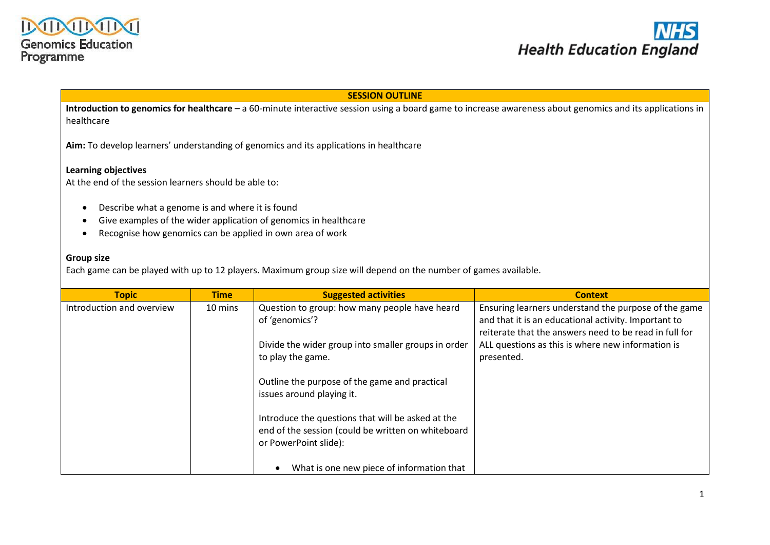## **SESSION OUTLINE**

**Introduction to genomics for healthcare** – a 60-minute interactive session using a board game to increase awareness about genomics and its applications in healthcare

**Aim:** To develop learners' understanding of genomics and its applications in healthcare

## **Learning objectives**

At the end of the session learners should be able to:

- Describe what a genome is and where it is found
- Give examples of the wider application of genomics in healthcare
- Recognise how genomics can be applied in own area of work

## **Group size**

Each game can be played with up to 12 players. Maximum group size will depend on the number of games available.

| <b>Topic</b>              | <b>Time</b> | <b>Suggested activities</b>                                                                                                      | <b>Context</b>                                                                                                                                                         |
|---------------------------|-------------|----------------------------------------------------------------------------------------------------------------------------------|------------------------------------------------------------------------------------------------------------------------------------------------------------------------|
| Introduction and overview | 10 mins     | Question to group: how many people have heard<br>of 'genomics'?                                                                  | Ensuring learners understand the purpose of the game<br>and that it is an educational activity. Important to<br>reiterate that the answers need to be read in full for |
|                           |             | Divide the wider group into smaller groups in order<br>to play the game.                                                         | ALL questions as this is where new information is<br>presented.                                                                                                        |
|                           |             | Outline the purpose of the game and practical<br>issues around playing it.                                                       |                                                                                                                                                                        |
|                           |             | Introduce the questions that will be asked at the<br>end of the session (could be written on whiteboard<br>or PowerPoint slide): |                                                                                                                                                                        |
|                           |             | What is one new piece of information that                                                                                        |                                                                                                                                                                        |